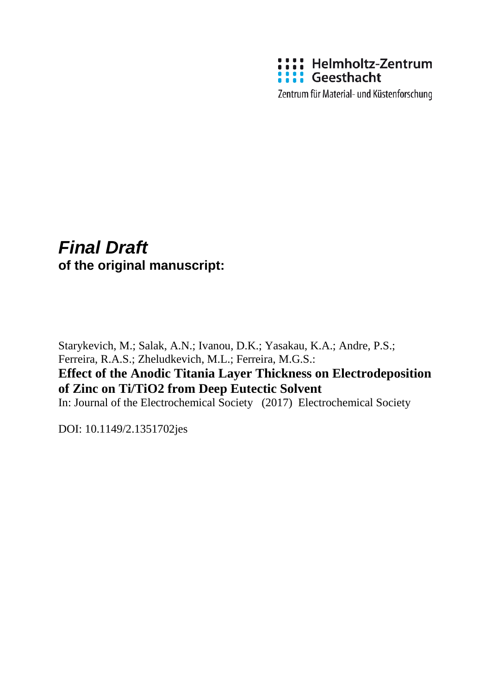

Zentrum für Material- und Küstenforschung

## *Final Draft*  **of the original manuscript:**

Starykevich, M.; Salak, A.N.; Ivanou, D.K.; Yasakau, K.A.; Andre, P.S.; Ferreira, R.A.S.; Zheludkevich, M.L.; Ferreira, M.G.S.:

### **Effect of the Anodic Titania Layer Thickness on Electrodeposition of Zinc on Ti/TiO2 from Deep Eutectic Solvent**

In: Journal of the Electrochemical Society (2017) Electrochemical Society

DOI: 10.1149/2.1351702jes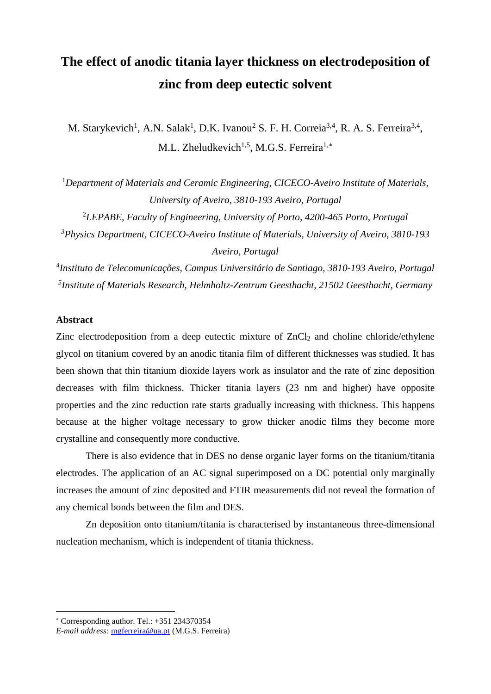# **The effect of anodic titania layer thickness on electrodeposition of zinc from deep eutectic solvent**

M. Starykevich<sup>1</sup>, A.N. Salak<sup>1</sup>, D.K. Ivanou<sup>2</sup> S. F. H. Correia<sup>3,4</sup>, R. A. S. Ferreira<sup>3,4</sup>, M.L. Zheludkevich<sup>1,5</sup>, M.G.S. Ferreira<sup>1,\*</sup>

<sup>1</sup>Department of Materials and Ceramic Engineering, CICECO-Aveiro Institute of Materials, *University of Aveiro, 3810-193 Aveiro, Portugal*

2 *LEPABE, Faculty of Engineering, University of Porto, 4200-465 Porto, Portugal 3 Physics Department, CICECO-Aveiro Institute of Materials, University of Aveiro, 3810-193 Aveiro, Portugal*

*4 Instituto de Telecomunicações, Campus Universitário de Santiago, 3810-193 Aveiro, Portugal 5 Institute of Materials Research, Helmholtz-Zentrum Geesthacht, 21502 Geesthacht, Germany*

#### **Abstract**

 $\overline{a}$ 

Zinc electrodeposition from a deep eutectic mixture of  $ZnCl<sub>2</sub>$  and choline chloride/ethylene glycol on titanium covered by an anodic titania film of different thicknesses was studied. It has been shown that thin titanium dioxide layers work as insulator and the rate of zinc deposition decreases with film thickness. Thicker titania layers (23 nm and higher) have opposite properties and the zinc reduction rate starts gradually increasing with thickness. This happens because at the higher voltage necessary to grow thicker anodic films they become more crystalline and consequently more conductive.

There is also evidence that in DES no dense organic layer forms on the titanium/titania electrodes. The application of an AC signal superimposed on a DC potential only marginally increases the amount of zinc deposited and FTIR measurements did not reveal the formation of any chemical bonds between the film and DES.

Zn deposition onto titanium/titania is characterised by instantaneous three-dimensional nucleation mechanism, which is independent of titania thickness.

<span id="page-1-0"></span><sup>∗</sup> Corresponding author. Tel.: +351 234370354

*E-mail address:* [mgferreira@ua.pt](mailto:mgferreira@ua.pt) (M.G.S. Ferreira)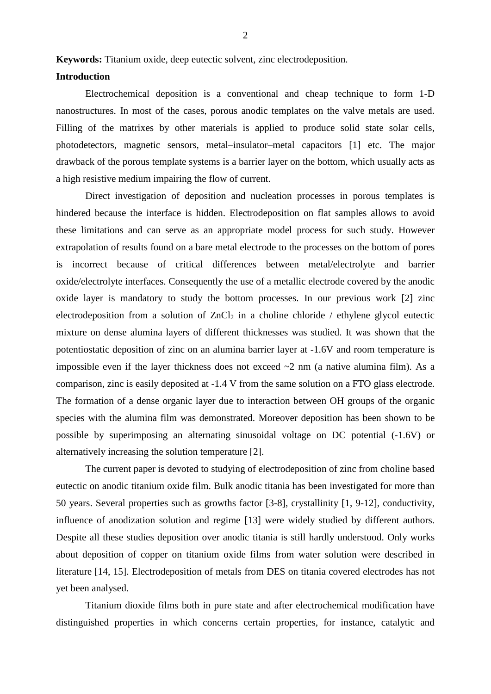**Keywords:** Titanium oxide, deep eutectic solvent, zinc electrodeposition.

#### **Introduction**

Electrochemical deposition is a conventional and cheap technique to form 1-D nanostructures. In most of the cases, porous anodic templates on the valve metals are used. Filling of the matrixes by other materials is applied to produce solid state solar cells, photodetectors, magnetic sensors, metal–insulator–metal capacitors [\[1\]](#page-19-0) etc. The major drawback of the porous template systems is a barrier layer on the bottom, which usually acts as a high resistive medium impairing the flow of current.

Direct investigation of deposition and nucleation processes in porous templates is hindered because the interface is hidden. Electrodeposition on flat samples allows to avoid these limitations and can serve as an appropriate model process for such study. However extrapolation of results found on a bare metal electrode to the processes on the bottom of pores is incorrect because of critical differences between metal/electrolyte and barrier oxide/electrolyte interfaces. Consequently the use of a metallic electrode covered by the anodic oxide layer is mandatory to study the bottom processes. In our previous work [\[2\]](#page-19-1) zinc electrodeposition from a solution of  $ZnCl<sub>2</sub>$  in a choline chloride / ethylene glycol eutectic mixture on dense alumina layers of different thicknesses was studied. It was shown that the potentiostatic deposition of zinc on an alumina barrier layer at -1.6V and room temperature is impossible even if the layer thickness does not exceed  $\sim$ 2 nm (a native alumina film). As a comparison, zinc is easily deposited at -1.4 V from the same solution on a FTO glass electrode. The formation of a dense organic layer due to interaction between OH groups of the organic species with the alumina film was demonstrated. Moreover deposition has been shown to be possible by superimposing an alternating sinusoidal voltage on DC potential (-1.6V) or alternatively increasing the solution temperature [\[2\]](#page-19-1).

The current paper is devoted to studying of electrodeposition of zinc from choline based eutectic on anodic titanium oxide film. Bulk anodic titania has been investigated for more than 50 years. Several properties such as growths factor [\[3-8\]](#page-19-2), crystallinity [\[1,](#page-19-0) [9-12\]](#page-19-3), conductivity, influence of anodization solution and regime [\[13\]](#page-19-4) were widely studied by different authors. Despite all these studies deposition over anodic titania is still hardly understood. Only works about deposition of copper on titanium oxide films from water solution were described in literature [\[14,](#page-19-5) [15\]](#page-19-6). Electrodeposition of metals from DES on titania covered electrodes has not yet been analysed.

Titanium dioxide films both in pure state and after electrochemical modification have distinguished properties in which concerns certain properties, for instance, catalytic and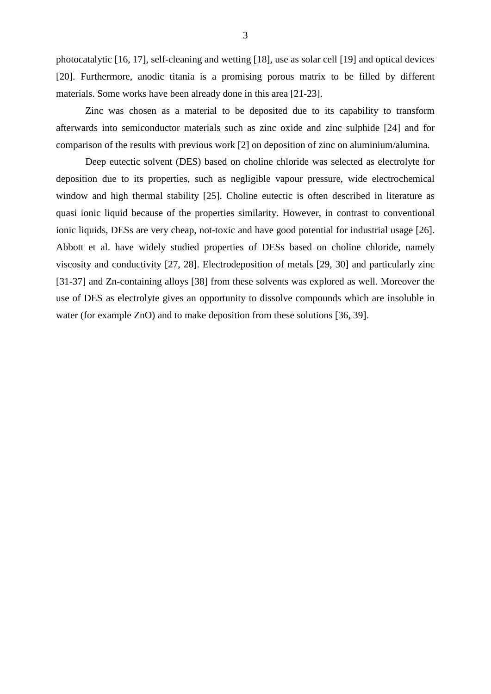photocatalytic [\[16,](#page-19-7) [17\]](#page-19-8), self-cleaning and wetting [\[18\]](#page-19-9), use as solar cell [\[19\]](#page-19-10) and optical devices [\[20\]](#page-19-11). Furthermore, anodic titania is a promising porous matrix to be filled by different materials. Some works have been already done in this area [\[21-23\]](#page-19-12).

Zinc was chosen as a material to be deposited due to its capability to transform afterwards into semiconductor materials such as zinc oxide and zinc sulphide [\[24\]](#page-20-0) and for comparison of the results with previous work [\[2\]](#page-19-1) on deposition of zinc on aluminium/alumina.

Deep eutectic solvent (DES) based on choline chloride was selected as electrolyte for deposition due to its properties, such as negligible vapour pressure, wide electrochemical window and high thermal stability [\[25\]](#page-20-1). Choline eutectic is often described in literature as quasi ionic liquid because of the properties similarity. However, in contrast to conventional ionic liquids, DESs are very cheap, not-toxic and have good potential for industrial usage [\[26\]](#page-20-2). Abbott et al. have widely studied properties of DESs based on choline chloride, namely viscosity and conductivity [\[27,](#page-20-3) [28\]](#page-20-4). Electrodeposition of metals [\[29,](#page-20-5) [30\]](#page-20-6) and particularly zinc [\[31-37\]](#page-20-7) and Zn-containing alloys [\[38\]](#page-20-8) from these solvents was explored as well. Moreover the use of DES as electrolyte gives an opportunity to dissolve compounds which are insoluble in water (for example ZnO) and to make deposition from these solutions [\[36,](#page-20-9) [39\]](#page-20-10).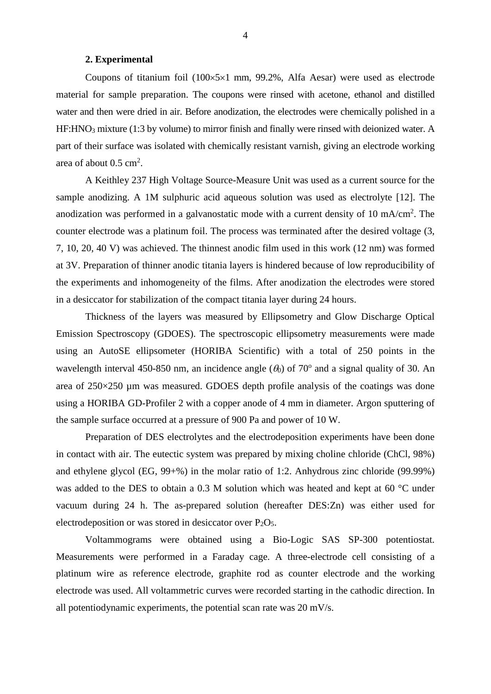#### **2. Experimental**

Coupons of titanium foil  $(100 \times 5 \times 1 \text{ mm}, 99.2\%$ , Alfa Aesar) were used as electrode material for sample preparation. The coupons were rinsed with acetone, ethanol and distilled water and then were dried in air. Before anodization, the electrodes were chemically polished in a HF:HNO3 mixture (1:3 by volume) to mirror finish and finally were rinsed with deionized water. A part of their surface was isolated with chemically resistant varnish, giving an electrode working area of about  $0.5 \text{ cm}^2$ .

A Keithley 237 High Voltage Source-Measure Unit was used as a current source for the sample anodizing. A 1M sulphuric acid aqueous solution was used as electrolyte [\[12\]](#page-19-13). The anodization was performed in a galvanostatic mode with a current density of 10 mA/cm<sup>2</sup>. The counter electrode was a platinum foil. The process was terminated after the desired voltage (3, 7, 10, 20, 40 V) was achieved. The thinnest anodic film used in this work (12 nm) was formed at 3V. Preparation of thinner anodic titania layers is hindered because of low reproducibility of the experiments and inhomogeneity of the films. After anodization the electrodes were stored in a desiccator for stabilization of the compact titania layer during 24 hours.

Thickness of the layers was measured by Ellipsometry and Glow Discharge Optical Emission Spectroscopy (GDOES). The spectroscopic ellipsometry measurements were made using an AutoSE ellipsometer (HORIBA Scientific) with a total of 250 points in the wavelength interval 450-850 nm, an incidence angle  $(\theta_0)$  of 70<sup>o</sup> and a signal quality of 30. An area of 250×250 µm was measured. GDOES depth profile analysis of the coatings was done using a HORIBA GD-Profiler 2 with a copper anode of 4 mm in diameter. Argon sputtering of the sample surface occurred at a pressure of 900 Pa and power of 10 W.

Preparation of DES electrolytes and the electrodeposition experiments have been done in contact with air. The eutectic system was prepared by mixing choline chloride (ChCl, 98%) and ethylene glycol (EG, 99+%) in the molar ratio of 1:2. Anhydrous zinc chloride (99.99%) was added to the DES to obtain a 0.3 M solution which was heated and kept at 60 °C under vacuum during 24 h. The as-prepared solution (hereafter DES:Zn) was either used for electrodeposition or was stored in desiccator over  $P_2O_5$ .

Voltammograms were obtained using a Bio-Logic SAS SP-300 potentiostat. Measurements were performed in a Faraday cage. A three-electrode cell consisting of a platinum wire as reference electrode, graphite rod as counter electrode and the working electrode was used. All voltammetric curves were recorded starting in the cathodic direction. In all potentiodynamic experiments, the potential scan rate was 20 mV/s.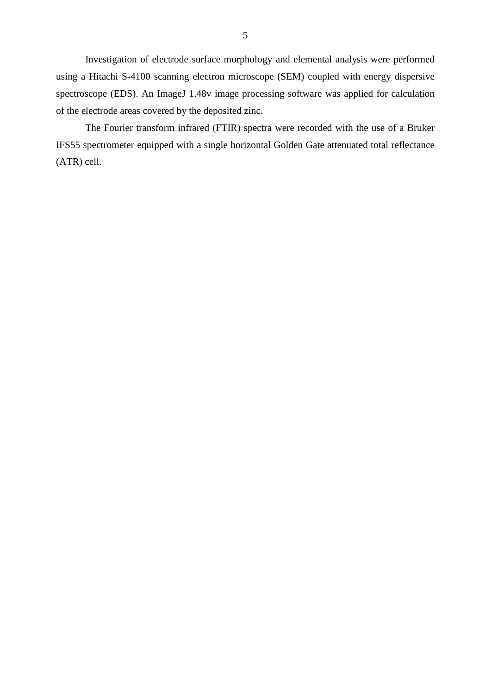Investigation of electrode surface morphology and elemental analysis were performed using a Hitachi S-4100 scanning electron microscope (SEM) coupled with energy dispersive spectroscope (EDS). An ImageJ 1.48v image processing software was applied for calculation of the electrode areas covered by the deposited zinc.

The Fourier transform infrared (FTIR) spectra were recorded with the use of a Bruker IFS55 spectrometer equipped with a single horizontal Golden Gate attenuated total reflectance (ATR) cell.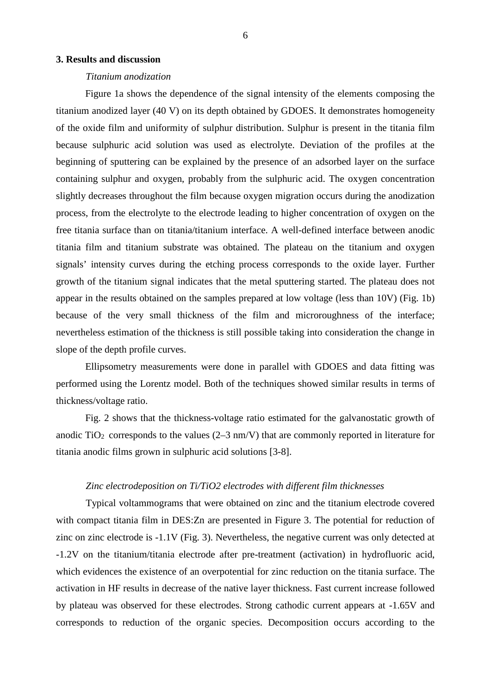#### **3. Results and discussion**

#### *Titanium anodization*

Figure 1a shows the dependence of the signal intensity of the elements composing the titanium anodized layer (40 V) on its depth obtained by GDOES. It demonstrates homogeneity of the oxide film and uniformity of sulphur distribution. Sulphur is present in the titania film because sulphuric acid solution was used as electrolyte. Deviation of the profiles at the beginning of sputtering can be explained by the presence of an adsorbed layer on the surface containing sulphur and oxygen, probably from the sulphuric acid. The oxygen concentration slightly decreases throughout the film because oxygen migration occurs during the anodization process, from the electrolyte to the electrode leading to higher concentration of oxygen on the free titania surface than on titania/titanium interface. A well-defined interface between anodic titania film and titanium substrate was obtained. The plateau on the titanium and oxygen signals' intensity curves during the etching process corresponds to the oxide layer. Further growth of the titanium signal indicates that the metal sputtering started. The plateau does not appear in the results obtained on the samples prepared at low voltage (less than 10V) (Fig. 1b) because of the very small thickness of the film and microroughness of the interface; nevertheless estimation of the thickness is still possible taking into consideration the change in slope of the depth profile curves.

Ellipsometry measurements were done in parallel with GDOES and data fitting was performed using the Lorentz model. Both of the techniques showed similar results in terms of thickness/voltage ratio.

Fig. 2 shows that the thickness-voltage ratio estimated for the galvanostatic growth of anodic  $TiO<sub>2</sub>$  corresponds to the values (2–3 nm/V) that are commonly reported in literature for titania anodic films grown in sulphuric acid solutions [\[3-8\]](#page-19-2).

#### *Zinc electrodeposition on Ti/TiO2 electrodes with different film thicknesses*

Typical voltammograms that were obtained on zinc and the titanium electrode covered with compact titania film in DES: Zn are presented in Figure 3. The potential for reduction of zinc on zinc electrode is -1.1V (Fig. 3). Nevertheless, the negative current was only detected at -1.2V on the titanium/titania electrode after pre-treatment (activation) in hydrofluoric acid, which evidences the existence of an overpotential for zinc reduction on the titania surface. The activation in HF results in decrease of the native layer thickness. Fast current increase followed by plateau was observed for these electrodes. Strong cathodic current appears at -1.65V and corresponds to reduction of the organic species. Decomposition occurs according to the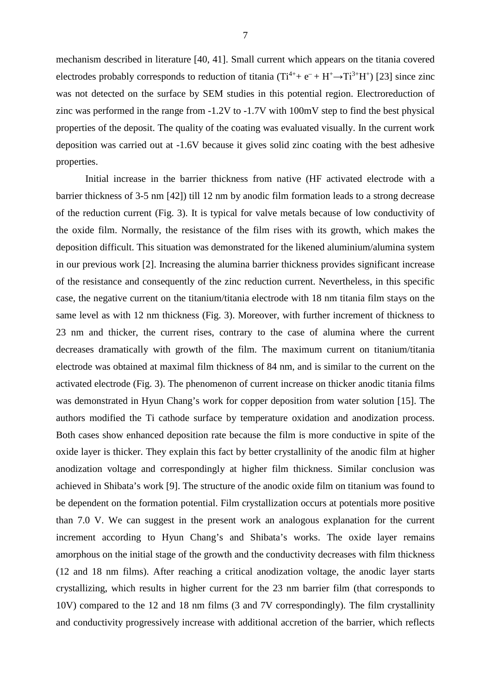mechanism described in literature [\[40,](#page-20-11) [41\]](#page-20-12). Small current which appears on the titania covered electrodes probably corresponds to reduction of titania  $(Ti^{4+} + e^- + H^+ \rightarrow Ti^{3+}H^+)$  [\[23\]](#page-20-13) since zinc was not detected on the surface by SEM studies in this potential region. Electroreduction of zinc was performed in the range from -1.2V to -1.7V with 100mV step to find the best physical properties of the deposit. The quality of the coating was evaluated visually. In the current work deposition was carried out at -1.6V because it gives solid zinc coating with the best adhesive properties.

Initial increase in the barrier thickness from native (HF activated electrode with a barrier thickness of 3-5 nm [\[42\]](#page-20-14)) till 12 nm by anodic film formation leads to a strong decrease of the reduction current (Fig. 3). It is typical for valve metals because of low conductivity of the oxide film. Normally, the resistance of the film rises with its growth, which makes the deposition difficult. This situation was demonstrated for the likened aluminium/alumina system in our previous work [\[2\]](#page-19-1). Increasing the alumina barrier thickness provides significant increase of the resistance and consequently of the zinc reduction current. Nevertheless, in this specific case, the negative current on the titanium/titania electrode with 18 nm titania film stays on the same level as with 12 nm thickness (Fig. 3). Moreover, with further increment of thickness to 23 nm and thicker, the current rises, contrary to the case of alumina where the current decreases dramatically with growth of the film. The maximum current on titanium/titania electrode was obtained at maximal film thickness of 84 nm, and is similar to the current on the activated electrode (Fig. 3). The phenomenon of current increase on thicker anodic titania films was demonstrated in Hyun Chang's work for copper deposition from water solution [\[15\]](#page-19-6). The authors modified the Ti cathode surface by temperature oxidation and anodization process. Both cases show enhanced deposition rate because the film is more conductive in spite of the oxide layer is thicker. They explain this fact by better crystallinity of the anodic film at higher anodization voltage and correspondingly at higher film thickness. Similar conclusion was achieved in Shibata's work [\[9\]](#page-19-3). The structure of the anodic oxide film on titanium was found to be dependent on the formation potential. Film crystallization occurs at potentials more positive than 7.0 V. We can suggest in the present work an analogous explanation for the current increment according to Hyun Chang's and Shibata's works. The oxide layer remains amorphous on the initial stage of the growth and the conductivity decreases with film thickness (12 and 18 nm films). After reaching a critical anodization voltage, the anodic layer starts crystallizing, which results in higher current for the 23 nm barrier film (that corresponds to 10V) compared to the 12 and 18 nm films (3 and 7V correspondingly). The film crystallinity and conductivity progressively increase with additional accretion of the barrier, which reflects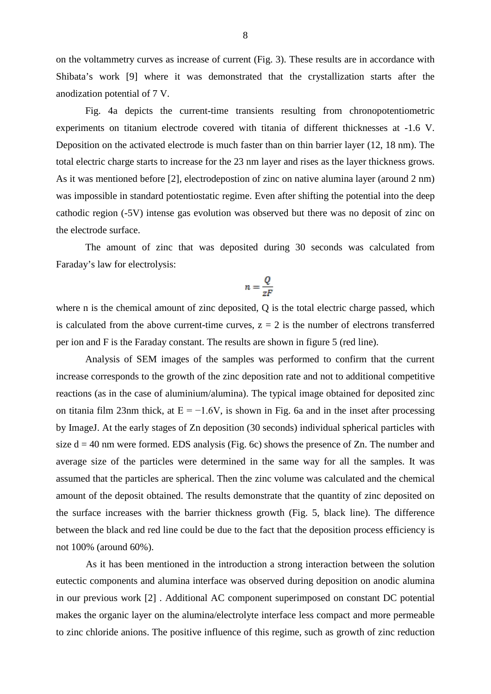on the voltammetry curves as increase of current (Fig. 3). These results are in accordance with Shibata's work [\[9\]](#page-19-3) where it was demonstrated that the crystallization starts after the anodization potential of 7 V.

Fig. 4a depicts the current-time transients resulting from chronopotentiometric experiments on titanium electrode covered with titania of different thicknesses at -1.6 V. Deposition on the activated electrode is much faster than on thin barrier layer (12, 18 nm). The total electric charge starts to increase for the 23 nm layer and rises as the layer thickness grows. As it was mentioned before [\[2\]](#page-19-1), electrodepostion of zinc on native alumina layer (around 2 nm) was impossible in standard potentiostatic regime. Even after shifting the potential into the deep cathodic region (-5V) intense gas evolution was observed but there was no deposit of zinc on the electrode surface.

The amount of zinc that was deposited during 30 seconds was calculated from Faraday's law for electrolysis:

$$
n=\frac{Q}{zF}
$$

where n is the chemical amount of zinc deposited, Q is the total electric charge passed, which is calculated from the above current-time curves,  $z = 2$  is the number of electrons transferred per ion and F is the Faraday constant. The results are shown in figure 5 (red line).

Analysis of SEM images of the samples was performed to confirm that the current increase corresponds to the growth of the zinc deposition rate and not to additional competitive reactions (as in the case of aluminium/alumina). The typical image obtained for deposited zinc on titania film 23nm thick, at  $E = -1.6V$ , is shown in Fig. 6a and in the inset after processing by ImageJ. At the early stages of Zn deposition (30 seconds) individual spherical particles with size  $d = 40$  nm were formed. EDS analysis (Fig. 6c) shows the presence of Zn. The number and average size of the particles were determined in the same way for all the samples. It was assumed that the particles are spherical. Then the zinc volume was calculated and the chemical amount of the deposit obtained. The results demonstrate that the quantity of zinc deposited on the surface increases with the barrier thickness growth (Fig. 5, black line). The difference between the black and red line could be due to the fact that the deposition process efficiency is not 100% (around 60%).

As it has been mentioned in the introduction a strong interaction between the solution eutectic components and alumina interface was observed during deposition on anodic alumina in our previous work [\[2\]](#page-19-1) . Additional AC component superimposed on constant DC potential makes the organic layer on the alumina/electrolyte interface less compact and more permeable to zinc chloride anions. The positive influence of this regime, such as growth of zinc reduction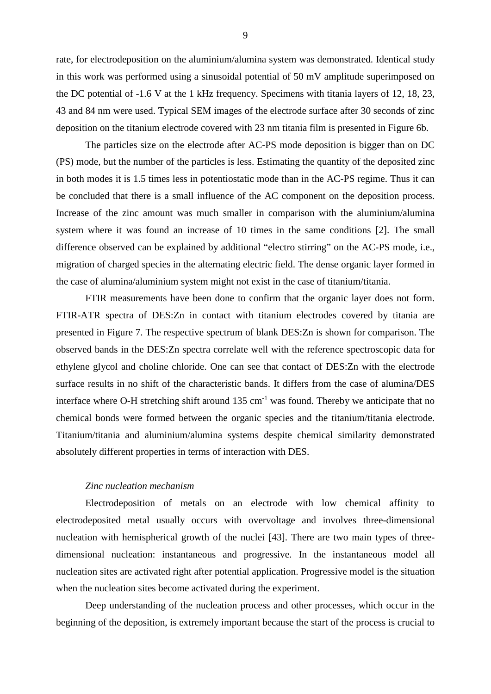rate, for electrodeposition on the aluminium/alumina system was demonstrated. Identical study in this work was performed using a sinusoidal potential of 50 mV amplitude superimposed on the DC potential of -1.6 V at the 1 kHz frequency. Specimens with titania layers of 12, 18, 23, 43 and 84 nm were used. Typical SEM images of the electrode surface after 30 seconds of zinc deposition on the titanium electrode covered with 23 nm titania film is presented in Figure 6b.

The particles size on the electrode after AC-PS mode deposition is bigger than on DC (PS) mode, but the number of the particles is less. Estimating the quantity of the deposited zinc in both modes it is 1.5 times less in potentiostatic mode than in the AC-PS regime. Thus it can be concluded that there is a small influence of the AC component on the deposition process. Increase of the zinc amount was much smaller in comparison with the aluminium/alumina system where it was found an increase of 10 times in the same conditions [\[2\]](#page-19-1). The small difference observed can be explained by additional "electro stirring" on the AC-PS mode, i.e., migration of charged species in the alternating electric field. The dense organic layer formed in the case of alumina/aluminium system might not exist in the case of titanium/titania.

FTIR measurements have been done to confirm that the organic layer does not form. FTIR-ATR spectra of DES:Zn in contact with titanium electrodes covered by titania are presented in Figure 7. The respective spectrum of blank DES:Zn is shown for comparison. The observed bands in the DES:Zn spectra correlate well with the reference spectroscopic data for ethylene glycol and choline chloride. One can see that contact of DES:Zn with the electrode surface results in no shift of the characteristic bands. It differs from the case of alumina/DES interface where O-H stretching shift around  $135 \text{ cm}^{-1}$  was found. Thereby we anticipate that no chemical bonds were formed between the organic species and the titanium/titania electrode. Titanium/titania and aluminium/alumina systems despite chemical similarity demonstrated absolutely different properties in terms of interaction with DES.

#### *Zinc nucleation mechanism*

Electrodeposition of metals on an electrode with low chemical affinity to electrodeposited metal usually occurs with overvoltage and involves three-dimensional nucleation with hemispherical growth of the nuclei [\[43\]](#page-21-0). There are two main types of threedimensional nucleation: instantaneous and progressive. In the instantaneous model all nucleation sites are activated right after potential application. Progressive model is the situation when the nucleation sites become activated during the experiment.

Deep understanding of the nucleation process and other processes, which occur in the beginning of the deposition, is extremely important because the start of the process is crucial to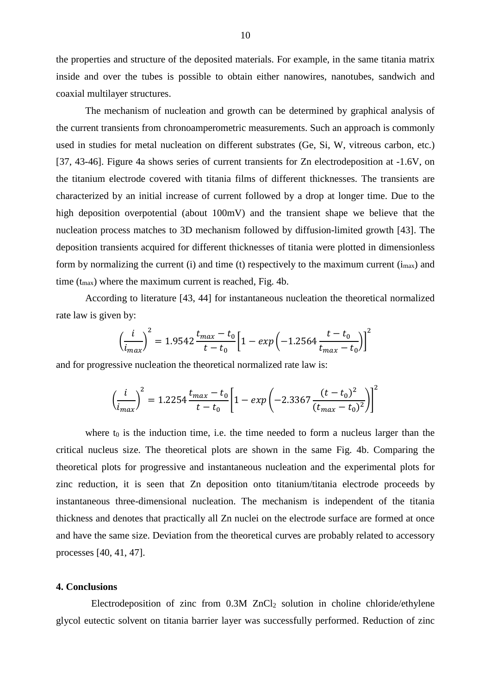the properties and structure of the deposited materials. For example, in the same titania matrix inside and over the tubes is possible to obtain either nanowires, nanotubes, sandwich and coaxial multilayer structures.

The mechanism of nucleation and growth can be determined by graphical analysis of the current transients from chronoamperometric measurements. Such an approach is commonly used in studies for metal nucleation on different substrates (Ge, Si, W, vitreous carbon, etc.) [\[37,](#page-20-15) [43-46\]](#page-21-0). Figure 4a shows series of current transients for Zn electrodeposition at -1.6V, on the titanium electrode covered with titania films of different thicknesses. The transients are characterized by an initial increase of current followed by a drop at longer time. Due to the high deposition overpotential (about 100mV) and the transient shape we believe that the nucleation process matches to 3D mechanism followed by diffusion-limited growth [\[43\]](#page-21-0). The deposition transients acquired for different thicknesses of titania were plotted in dimensionless form by normalizing the current (i) and time (t) respectively to the maximum current  $(i_{max})$  and time  $(t_{\text{max}})$  where the maximum current is reached, Fig. 4b.

According to literature [\[43,](#page-21-0) [44\]](#page-21-1) for instantaneous nucleation the theoretical normalized rate law is given by:

$$
\left(\frac{i}{i_{max}}\right)^2 = 1.9542 \frac{t_{max} - t_0}{t - t_0} \left[1 - exp\left(-1.2564 \frac{t - t_0}{t_{max} - t_0}\right)\right]^2
$$

and for progressive nucleation the theoretical normalized rate law is:

$$
\left(\frac{i}{i_{max}}\right)^2 = 1.2254 \frac{t_{max} - t_0}{t - t_0} \left[1 - exp\left(-2.3367 \frac{(t - t_0)^2}{(t_{max} - t_0)^2}\right)\right]^2
$$

where  $t_0$  is the induction time, i.e. the time needed to form a nucleus larger than the critical nucleus size. The theoretical plots are shown in the same Fig. 4b. Comparing the theoretical plots for progressive and instantaneous nucleation and the experimental plots for zinc reduction, it is seen that Zn deposition onto titanium/titania electrode proceeds by instantaneous three-dimensional nucleation. The mechanism is independent of the titania thickness and denotes that practically all Zn nuclei on the electrode surface are formed at once and have the same size. Deviation from the theoretical curves are probably related to accessory processes [\[40,](#page-20-11) [41,](#page-20-12) [47\]](#page-21-2).

#### **4. Conclusions**

Electrodeposition of zinc from  $0.3M$  ZnCl<sub>2</sub> solution in choline chloride/ethylene glycol eutectic solvent on titania barrier layer was successfully performed. Reduction of zinc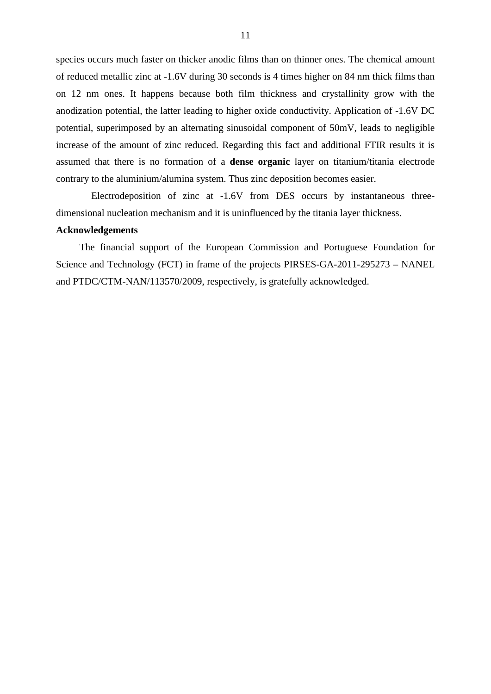species occurs much faster on thicker anodic films than on thinner ones. The chemical amount of reduced metallic zinc at -1.6V during 30 seconds is 4 times higher on 84 nm thick films than on 12 nm ones. It happens because both film thickness and crystallinity grow with the anodization potential, the latter leading to higher oxide conductivity. Application of -1.6V DC potential, superimposed by an alternating sinusoidal component of 50mV, leads to negligible increase of the amount of zinc reduced. Regarding this fact and additional FTIR results it is assumed that there is no formation of a **dense organic** layer on titanium/titania electrode contrary to the aluminium/alumina system. Thus zinc deposition becomes easier.

Electrodeposition of zinc at -1.6V from DES occurs by instantaneous threedimensional nucleation mechanism and it is uninfluenced by the titania layer thickness.

#### **Acknowledgements**

The financial support of the European Commission and Portuguese Foundation for Science and Technology (FCT) in frame of the projects PIRSES-GA-2011-295273 – NANEL and PTDC/CTM-NAN/113570/2009, respectively, is gratefully acknowledged.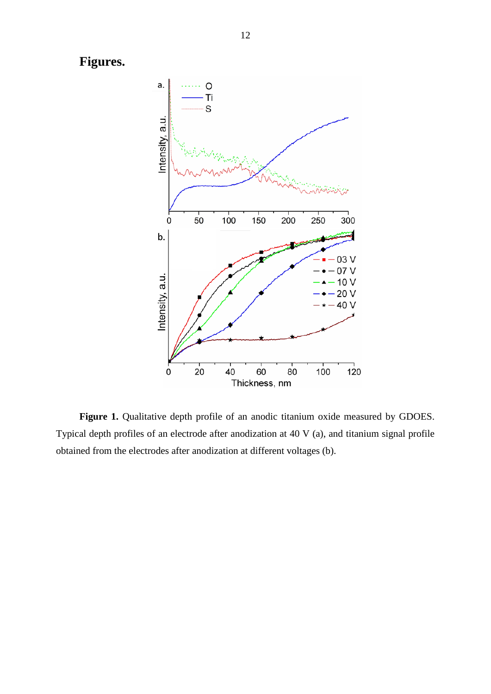**Figures.**



**Figure 1.** Qualitative depth profile of an anodic titanium oxide measured by GDOES. Typical depth profiles of an electrode after anodization at 40 V (a), and titanium signal profile obtained from the electrodes after anodization at different voltages (b).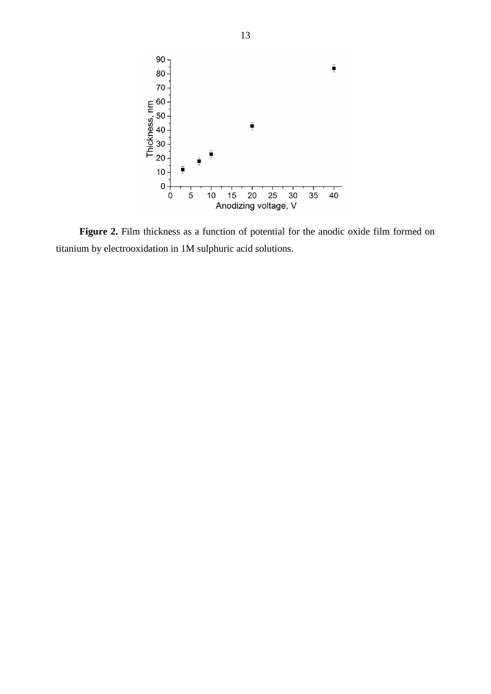

Figure 2. Film thickness as a function of potential for the anodic oxide film formed on titanium by electrooxidation in 1M sulphuric acid solutions.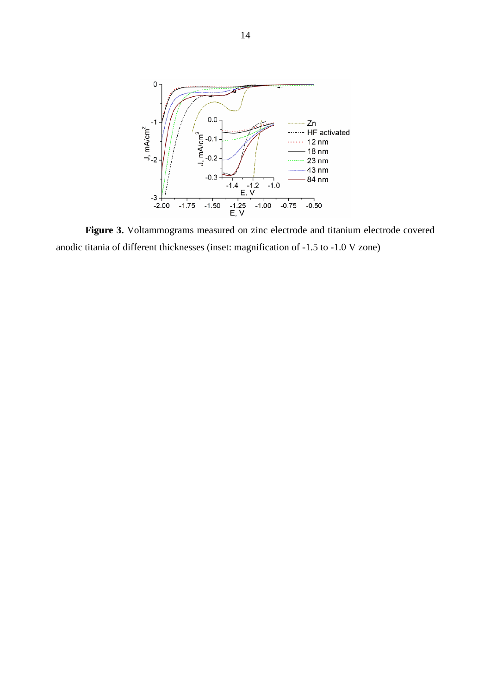

Figure 3. Voltammograms measured on zinc electrode and titanium electrode covered anodic titania of different thicknesses (inset: magnification of -1.5 to -1.0 V zone)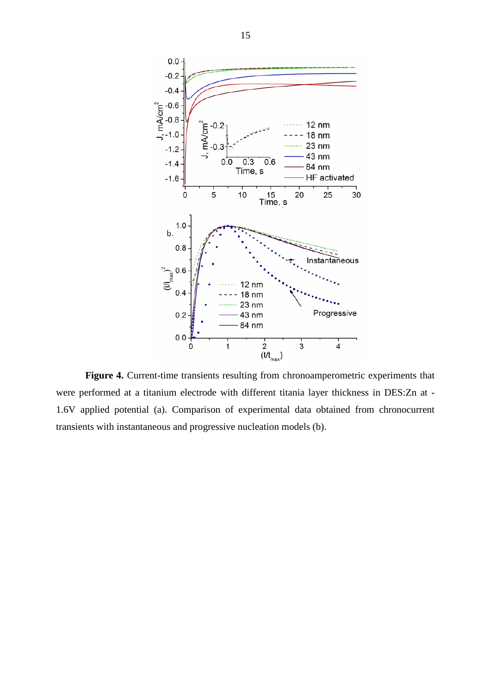

Figure 4. Current-time transients resulting from chronoamperometric experiments that were performed at a titanium electrode with different titania layer thickness in DES:Zn at - 1.6V applied potential (a). Comparison of experimental data obtained from chronocurrent transients with instantaneous and progressive nucleation models (b).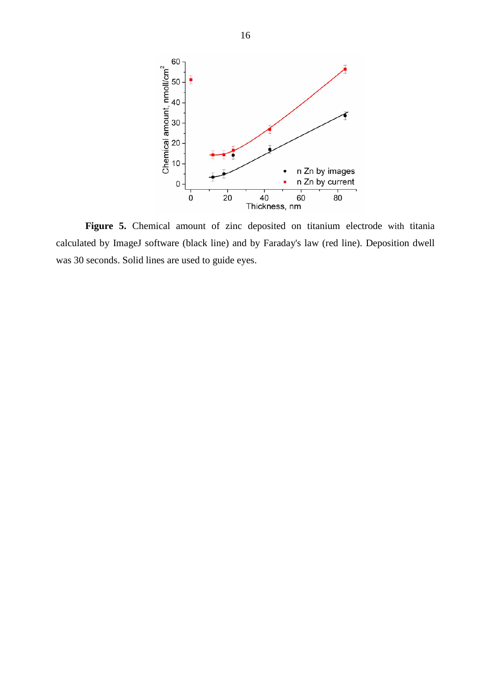

Figure 5. Chemical amount of zinc deposited on titanium electrode with titania calculated by ImageJ software (black line) and by Faraday's law (red line). Deposition dwell was 30 seconds. Solid lines are used to guide eyes.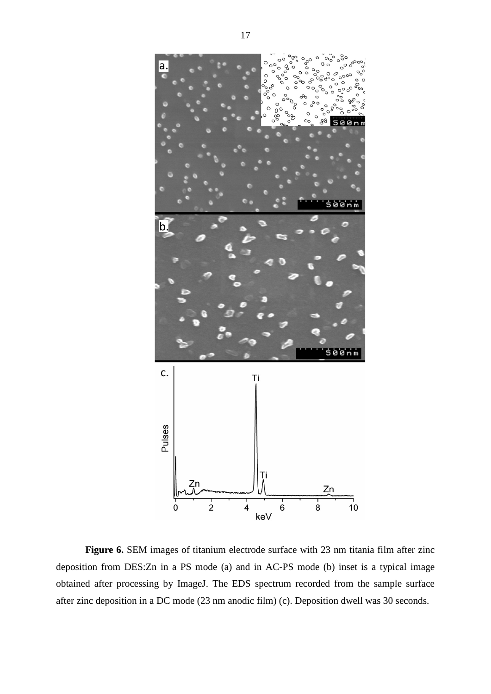

Figure 6. SEM images of titanium electrode surface with 23 nm titania film after zinc deposition from DES:Zn in a PS mode (a) and in AC-PS mode (b) inset is a typical image obtained after processing by ImageJ. The EDS spectrum recorded from the sample surface after zinc deposition in a DC mode (23 nm anodic film) (c). Deposition dwell was 30 seconds.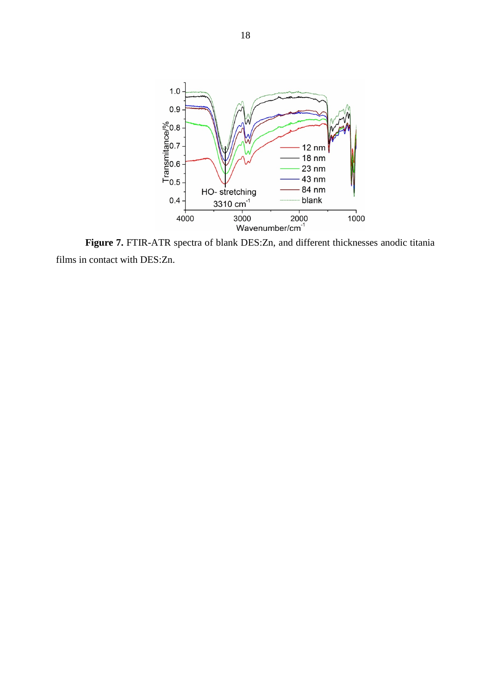

**Figure 7.** FTIR-ATR spectra of blank DES:Zn, and different thicknesses anodic titania films in contact with DES:Zn.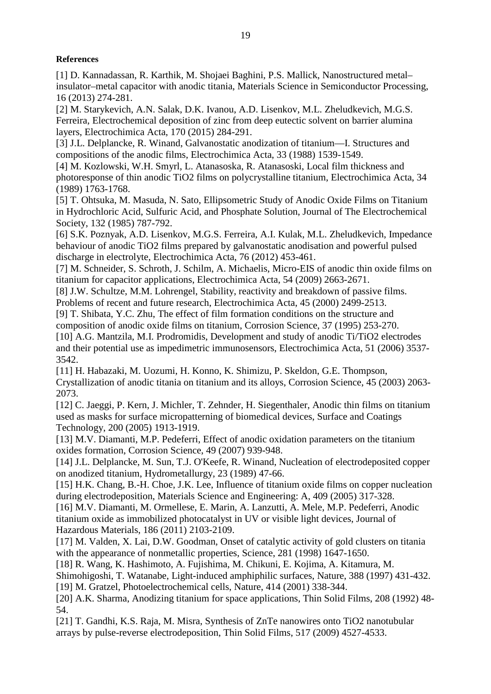#### **References**

<span id="page-19-0"></span>[1] D. Kannadassan, R. Karthik, M. Shojaei Baghini, P.S. Mallick, Nanostructured metal– insulator–metal capacitor with anodic titania, Materials Science in Semiconductor Processing, 16 (2013) 274-281.

<span id="page-19-1"></span>[2] M. Starykevich, A.N. Salak, D.K. Ivanou, A.D. Lisenkov, M.L. Zheludkevich, M.G.S. Ferreira, Electrochemical deposition of zinc from deep eutectic solvent on barrier alumina layers, Electrochimica Acta, 170 (2015) 284-291.

<span id="page-19-2"></span>[3] J.L. Delplancke, R. Winand, Galvanostatic anodization of titanium—I. Structures and compositions of the anodic films, Electrochimica Acta, 33 (1988) 1539-1549.

[4] M. Kozlowski, W.H. Smyrl, L. Atanasoska, R. Atanasoski, Local film thickness and photoresponse of thin anodic TiO2 films on polycrystalline titanium, Electrochimica Acta, 34 (1989) 1763-1768.

[5] T. Ohtsuka, M. Masuda, N. Sato, Ellipsometric Study of Anodic Oxide Films on Titanium in Hydrochloric Acid, Sulfuric Acid, and Phosphate Solution, Journal of The Electrochemical Society, 132 (1985) 787-792.

[6] S.K. Poznyak, A.D. Lisenkov, M.G.S. Ferreira, A.I. Kulak, M.L. Zheludkevich, Impedance behaviour of anodic TiO2 films prepared by galvanostatic anodisation and powerful pulsed discharge in electrolyte, Electrochimica Acta, 76 (2012) 453-461.

[7] M. Schneider, S. Schroth, J. Schilm, A. Michaelis, Micro-EIS of anodic thin oxide films on titanium for capacitor applications, Electrochimica Acta, 54 (2009) 2663-2671.

[8] J.W. Schultze, M.M. Lohrengel, Stability, reactivity and breakdown of passive films. Problems of recent and future research, Electrochimica Acta, 45 (2000) 2499-2513.

<span id="page-19-3"></span>[9] T. Shibata, Y.C. Zhu, The effect of film formation conditions on the structure and

composition of anodic oxide films on titanium, Corrosion Science, 37 (1995) 253-270. [10] A.G. Mantzila, M.I. Prodromidis, Development and study of anodic Ti/TiO2 electrodes and their potential use as impedimetric immunosensors, Electrochimica Acta, 51 (2006) 3537- 3542.

[11] H. Habazaki, M. Uozumi, H. Konno, K. Shimizu, P. Skeldon, G.E. Thompson, Crystallization of anodic titania on titanium and its alloys, Corrosion Science, 45 (2003) 2063- 2073.

<span id="page-19-13"></span>[12] C. Jaeggi, P. Kern, J. Michler, T. Zehnder, H. Siegenthaler, Anodic thin films on titanium used as masks for surface micropatterning of biomedical devices, Surface and Coatings Technology, 200 (2005) 1913-1919.

<span id="page-19-4"></span>[13] M.V. Diamanti, M.P. Pedeferri, Effect of anodic oxidation parameters on the titanium oxides formation, Corrosion Science, 49 (2007) 939-948.

<span id="page-19-5"></span>[14] J.L. Delplancke, M. Sun, T.J. O'Keefe, R. Winand, Nucleation of electrodeposited copper on anodized titanium, Hydrometallurgy, 23 (1989) 47-66.

<span id="page-19-6"></span>[15] H.K. Chang, B.-H. Choe, J.K. Lee, Influence of titanium oxide films on copper nucleation during electrodeposition, Materials Science and Engineering: A, 409 (2005) 317-328.

<span id="page-19-7"></span>[16] M.V. Diamanti, M. Ormellese, E. Marin, A. Lanzutti, A. Mele, M.P. Pedeferri, Anodic titanium oxide as immobilized photocatalyst in UV or visible light devices, Journal of Hazardous Materials, 186 (2011) 2103-2109.

<span id="page-19-8"></span>[17] M. Valden, X. Lai, D.W. Goodman, Onset of catalytic activity of gold clusters on titania with the appearance of nonmetallic properties, Science, 281 (1998) 1647-1650.

<span id="page-19-9"></span>[18] R. Wang, K. Hashimoto, A. Fujishima, M. Chikuni, E. Kojima, A. Kitamura, M.

<span id="page-19-10"></span>Shimohigoshi, T. Watanabe, Light-induced amphiphilic surfaces, Nature, 388 (1997) 431-432. [19] M. Gratzel, Photoelectrochemical cells, Nature, 414 (2001) 338-344.

<span id="page-19-11"></span>[20] A.K. Sharma, Anodizing titanium for space applications, Thin Solid Films, 208 (1992) 48- 54.

<span id="page-19-12"></span>[21] T. Gandhi, K.S. Raja, M. Misra, Synthesis of ZnTe nanowires onto TiO2 nanotubular arrays by pulse-reverse electrodeposition, Thin Solid Films, 517 (2009) 4527-4533.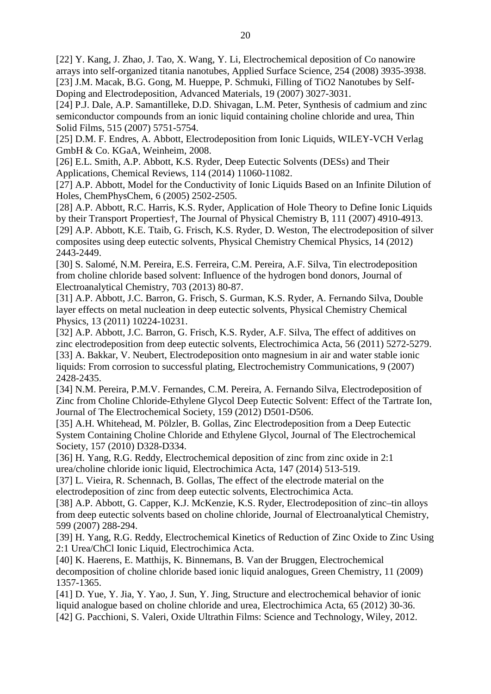<span id="page-20-13"></span>[22] Y. Kang, J. Zhao, J. Tao, X. Wang, Y. Li, Electrochemical deposition of Co nanowire arrays into self-organized titania nanotubes, Applied Surface Science, 254 (2008) 3935-3938. [23] J.M. Macak, B.G. Gong, M. Hueppe, P. Schmuki, Filling of TiO2 Nanotubes by Self-Doping and Electrodeposition, Advanced Materials, 19 (2007) 3027-3031.

<span id="page-20-0"></span>[24] P.J. Dale, A.P. Samantilleke, D.D. Shivagan, L.M. Peter, Synthesis of cadmium and zinc semiconductor compounds from an ionic liquid containing choline chloride and urea, Thin Solid Films, 515 (2007) 5751-5754.

<span id="page-20-1"></span>[25] D.M. F. Endres, A. Abbott, Electrodeposition from Ionic Liquids, WILEY-VCH Verlag GmbH & Co. KGaA, Weinheim, 2008.

<span id="page-20-2"></span>[26] E.L. Smith, A.P. Abbott, K.S. Ryder, Deep Eutectic Solvents (DESs) and Their Applications, Chemical Reviews, 114 (2014) 11060-11082.

<span id="page-20-3"></span>[27] A.P. Abbott, Model for the Conductivity of Ionic Liquids Based on an Infinite Dilution of Holes, ChemPhysChem, 6 (2005) 2502-2505.

<span id="page-20-5"></span><span id="page-20-4"></span>[28] A.P. Abbott, R.C. Harris, K.S. Ryder, Application of Hole Theory to Define Ionic Liquids by their Transport Properties†, The Journal of Physical Chemistry B, 111 (2007) 4910-4913. [29] A.P. Abbott, K.E. Ttaib, G. Frisch, K.S. Ryder, D. Weston, The electrodeposition of silver composites using deep eutectic solvents, Physical Chemistry Chemical Physics, 14 (2012) 2443-2449.

<span id="page-20-6"></span>[30] S. Salomé, N.M. Pereira, E.S. Ferreira, C.M. Pereira, A.F. Silva, Tin electrodeposition from choline chloride based solvent: Influence of the hydrogen bond donors, Journal of Electroanalytical Chemistry, 703 (2013) 80-87.

<span id="page-20-7"></span>[31] A.P. Abbott, J.C. Barron, G. Frisch, S. Gurman, K.S. Ryder, A. Fernando Silva, Double layer effects on metal nucleation in deep eutectic solvents, Physical Chemistry Chemical Physics, 13 (2011) 10224-10231.

[32] A.P. Abbott, J.C. Barron, G. Frisch, K.S. Ryder, A.F. Silva, The effect of additives on zinc electrodeposition from deep eutectic solvents, Electrochimica Acta, 56 (2011) 5272-5279. [33] A. Bakkar, V. Neubert, Electrodeposition onto magnesium in air and water stable ionic liquids: From corrosion to successful plating, Electrochemistry Communications, 9 (2007) 2428-2435.

[34] N.M. Pereira, P.M.V. Fernandes, C.M. Pereira, A. Fernando Silva, Electrodeposition of Zinc from Choline Chloride-Ethylene Glycol Deep Eutectic Solvent: Effect of the Tartrate Ion, Journal of The Electrochemical Society, 159 (2012) D501-D506.

[35] A.H. Whitehead, M. Pölzler, B. Gollas, Zinc Electrodeposition from a Deep Eutectic System Containing Choline Chloride and Ethylene Glycol, Journal of The Electrochemical Society, 157 (2010) D328-D334.

<span id="page-20-9"></span>[36] H. Yang, R.G. Reddy, Electrochemical deposition of zinc from zinc oxide in 2:1 urea/choline chloride ionic liquid, Electrochimica Acta, 147 (2014) 513-519.

<span id="page-20-15"></span>[37] L. Vieira, R. Schennach, B. Gollas, The effect of the electrode material on the electrodeposition of zinc from deep eutectic solvents, Electrochimica Acta.

<span id="page-20-8"></span>[38] A.P. Abbott, G. Capper, K.J. McKenzie, K.S. Ryder, Electrodeposition of zinc–tin alloys from deep eutectic solvents based on choline chloride, Journal of Electroanalytical Chemistry, 599 (2007) 288-294.

<span id="page-20-10"></span>[39] H. Yang, R.G. Reddy, Electrochemical Kinetics of Reduction of Zinc Oxide to Zinc Using 2:1 Urea/ChCl Ionic Liquid, Electrochimica Acta.

<span id="page-20-11"></span>[40] K. Haerens, E. Matthijs, K. Binnemans, B. Van der Bruggen, Electrochemical decomposition of choline chloride based ionic liquid analogues, Green Chemistry, 11 (2009) 1357-1365.

<span id="page-20-14"></span><span id="page-20-12"></span>[41] D. Yue, Y. Jia, Y. Yao, J. Sun, Y. Jing, Structure and electrochemical behavior of ionic liquid analogue based on choline chloride and urea, Electrochimica Acta, 65 (2012) 30-36. [42] G. Pacchioni, S. Valeri, Oxide Ultrathin Films: Science and Technology, Wiley, 2012.